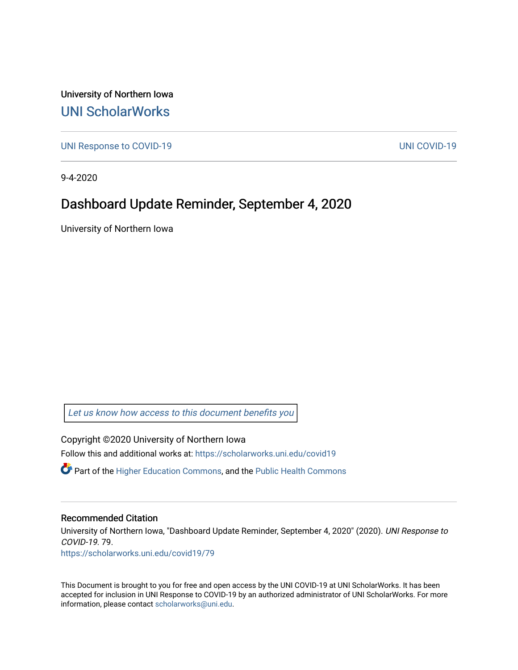University of Northern Iowa [UNI ScholarWorks](https://scholarworks.uni.edu/) 

[UNI Response to COVID-19](https://scholarworks.uni.edu/covid19) [UNI COVID-19](https://scholarworks.uni.edu/covid) 

9-4-2020

## Dashboard Update Reminder, September 4, 2020

University of Northern Iowa

[Let us know how access to this document benefits you](https://scholarworks.uni.edu/feedback_form.html) 

Copyright ©2020 University of Northern Iowa Follow this and additional works at: [https://scholarworks.uni.edu/covid19](https://scholarworks.uni.edu/covid19?utm_source=scholarworks.uni.edu%2Fcovid19%2F79&utm_medium=PDF&utm_campaign=PDFCoverPages)

 $\bullet$  Part of the [Higher Education Commons,](http://network.bepress.com/hgg/discipline/1245?utm_source=scholarworks.uni.edu%2Fcovid19%2F79&utm_medium=PDF&utm_campaign=PDFCoverPages) and the Public Health Commons

## Recommended Citation

University of Northern Iowa, "Dashboard Update Reminder, September 4, 2020" (2020). UNI Response to COVID-19. 79.

[https://scholarworks.uni.edu/covid19/79](https://scholarworks.uni.edu/covid19/79?utm_source=scholarworks.uni.edu%2Fcovid19%2F79&utm_medium=PDF&utm_campaign=PDFCoverPages) 

This Document is brought to you for free and open access by the UNI COVID-19 at UNI ScholarWorks. It has been accepted for inclusion in UNI Response to COVID-19 by an authorized administrator of UNI ScholarWorks. For more information, please contact [scholarworks@uni.edu.](mailto:scholarworks@uni.edu)